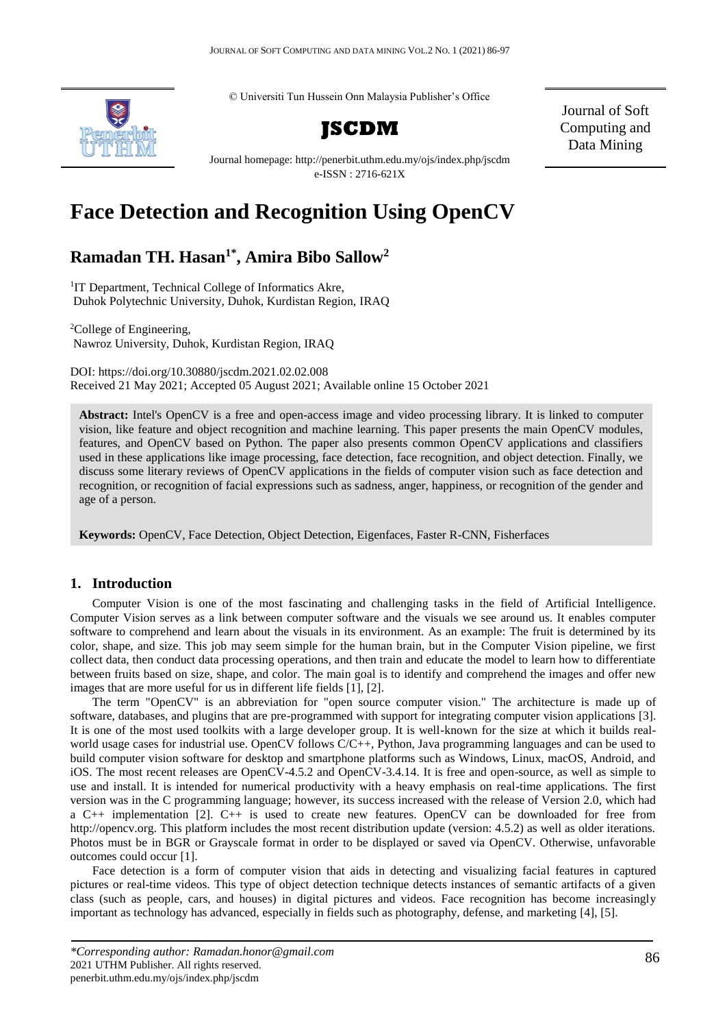© Universiti Tun Hussein Onn Malaysia Publisher's Office



**JSCDM**

Journal of Soft Computing and Data Mining

Journal homepage: http://penerbit.uthm.edu.my/ojs/index.php/jscdm e-ISSN : 2716-621X

# **Face Detection and Recognition Using OpenCV**

# **Ramadan TH. Hasan1\* , Amira Bibo Sallow<sup>2</sup>**

<sup>1</sup>IT Department, Technical College of Informatics Akre, Duhok Polytechnic University, Duhok, Kurdistan Region, IRAQ

<sup>2</sup>College of Engineering, Nawroz University, Duhok, Kurdistan Region, IRAQ

DOI: https://doi.org/10.30880/jscdm.2021.02.02.008 Received 21 May 2021; Accepted 05 August 2021; Available online 15 October 2021

**Abstract:** Intel's OpenCV is a free and open-access image and video processing library. It is linked to computer vision, like feature and object recognition and machine learning. This paper presents the main OpenCV modules, features, and OpenCV based on Python. The paper also presents common OpenCV applications and classifiers used in these applications like image processing, face detection, face recognition, and object detection. Finally, we discuss some literary reviews of OpenCV applications in the fields of computer vision such as face detection and recognition, or recognition of facial expressions such as sadness, anger, happiness, or recognition of the gender and age of a person.

**Keywords:** OpenCV, Face Detection, Object Detection, Eigenfaces, Faster R-CNN, Fisherfaces

# **1. Introduction**

Computer Vision is one of the most fascinating and challenging tasks in the field of Artificial Intelligence. Computer Vision serves as a link between computer software and the visuals we see around us. It enables computer software to comprehend and learn about the visuals in its environment. As an example: The fruit is determined by its color, shape, and size. This job may seem simple for the human brain, but in the Computer Vision pipeline, we first collect data, then conduct data processing operations, and then train and educate the model to learn how to differentiate between fruits based on size, shape, and color. The main goal is to identify and comprehend the images and offer new images that are more useful for us in different life fields [1], [2].

The term "OpenCV" is an abbreviation for "open source computer vision." The architecture is made up of software, databases, and plugins that are pre-programmed with support for integrating computer vision applications [3]. It is one of the most used toolkits with a large developer group. It is well-known for the size at which it builds realworld usage cases for industrial use. OpenCV follows C/C++, Python, Java programming languages and can be used to build computer vision software for desktop and smartphone platforms such as Windows, Linux, macOS, Android, and iOS. The most recent releases are OpenCV-4.5.2 and OpenCV-3.4.14. It is free and open-source, as well as simple to use and install. It is intended for numerical productivity with a heavy emphasis on real-time applications. The first version was in the C programming language; however, its success increased with the release of Version 2.0, which had a C++ implementation [2]. C++ is used to create new features. OpenCV can be downloaded for free from http://opencv.org. This platform includes the most recent distribution update (version: 4.5.2) as well as older iterations. Photos must be in BGR or Grayscale format in order to be displayed or saved via OpenCV. Otherwise, unfavorable outcomes could occur [1].

Face detection is a form of computer vision that aids in detecting and visualizing facial features in captured pictures or real-time videos. This type of object detection technique detects instances of semantic artifacts of a given class (such as people, cars, and houses) in digital pictures and videos. Face recognition has become increasingly important as technology has advanced, especially in fields such as photography, defense, and marketing [4], [5].

*<sup>\*</sup>Corresponding author: Ramadan.honor@gmail.com* 2021 UTHM Publisher. All rights reserved. penerbit.uthm.edu.my/ojs/index.php/jscdm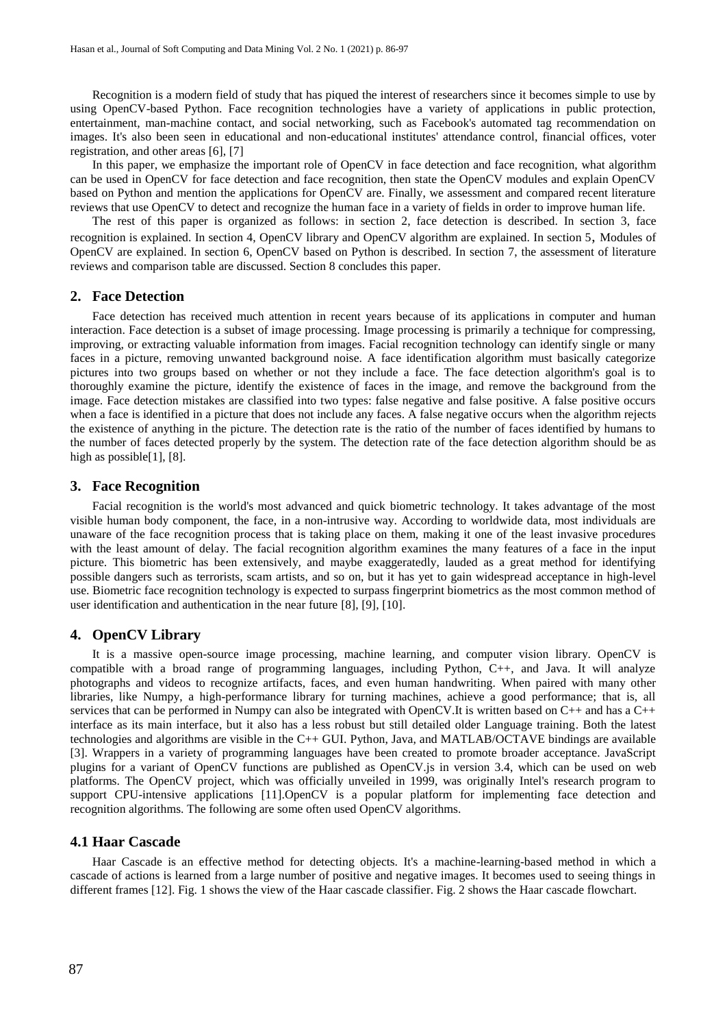Recognition is a modern field of study that has piqued the interest of researchers since it becomes simple to use by using OpenCV-based Python. Face recognition technologies have a variety of applications in public protection, entertainment, man-machine contact, and social networking, such as Facebook's automated tag recommendation on images. It's also been seen in educational and non-educational institutes' attendance control, financial offices, voter registration, and other areas [6], [7]

In this paper, we emphasize the important role of OpenCV in face detection and face recognition, what algorithm can be used in OpenCV for face detection and face recognition, then state the OpenCV modules and explain OpenCV based on Python and mention the applications for OpenCV are. Finally, we assessment and compared recent literature reviews that use OpenCV to detect and recognize the human face in a variety of fields in order to improve human life.

The rest of this paper is organized as follows: in section 2, face detection is described. In section 3, face recognition is explained. In section 4, OpenCV library and OpenCV algorithm are explained. In section 5, Modules of OpenCV are explained. In section 6, OpenCV based on Python is described. In section 7, the assessment of literature reviews and comparison table are discussed. Section 8 concludes this paper.

#### **2. Face Detection**

Face detection has received much attention in recent years because of its applications in computer and human interaction. Face detection is a subset of image processing. Image processing is primarily a technique for compressing, improving, or extracting valuable information from images. Facial recognition technology can identify single or many faces in a picture, removing unwanted background noise. A face identification algorithm must basically categorize pictures into two groups based on whether or not they include a face. The face detection algorithm's goal is to thoroughly examine the picture, identify the existence of faces in the image, and remove the background from the image. Face detection mistakes are classified into two types: false negative and false positive. A false positive occurs when a face is identified in a picture that does not include any faces. A false negative occurs when the algorithm rejects the existence of anything in the picture. The detection rate is the ratio of the number of faces identified by humans to the number of faces detected properly by the system. The detection rate of the face detection algorithm should be as high as possible[1], [8].

#### **3. Face Recognition**

Facial recognition is the world's most advanced and quick biometric technology. It takes advantage of the most visible human body component, the face, in a non-intrusive way. According to worldwide data, most individuals are unaware of the face recognition process that is taking place on them, making it one of the least invasive procedures with the least amount of delay. The facial recognition algorithm examines the many features of a face in the input picture. This biometric has been extensively, and maybe exaggeratedly, lauded as a great method for identifying possible dangers such as terrorists, scam artists, and so on, but it has yet to gain widespread acceptance in high-level use. Biometric face recognition technology is expected to surpass fingerprint biometrics as the most common method of user identification and authentication in the near future [8], [9], [10].

#### **4. OpenCV Library**

It is a massive open-source image processing, machine learning, and computer vision library. OpenCV is compatible with a broad range of programming languages, including Python, C++, and Java. It will analyze photographs and videos to recognize artifacts, faces, and even human handwriting. When paired with many other libraries, like Numpy, a high-performance library for turning machines, achieve a good performance; that is, all services that can be performed in Numpy can also be integrated with OpenCV.It is written based on C++ and has a C++ interface as its main interface, but it also has a less robust but still detailed older Language training. Both the latest technologies and algorithms are visible in the C++ GUI. Python, Java, and MATLAB/OCTAVE bindings are available [3]. Wrappers in a variety of programming languages have been created to promote broader acceptance. JavaScript plugins for a variant of OpenCV functions are published as OpenCV.js in version 3.4, which can be used on web platforms. The OpenCV project, which was officially unveiled in 1999, was originally Intel's research program to support CPU-intensive applications [11]. OpenCV is a popular platform for implementing face detection and recognition algorithms. The following are some often used OpenCV algorithms.

#### **4.1 Haar Cascade**

Haar Cascade is an effective method for detecting objects. It's a machine-learning-based method in which a cascade of actions is learned from a large number of positive and negative images. It becomes used to seeing things in different frames [12]. Fig. 1 shows the view of the Haar cascade classifier. Fig. 2 shows the Haar cascade flowchart.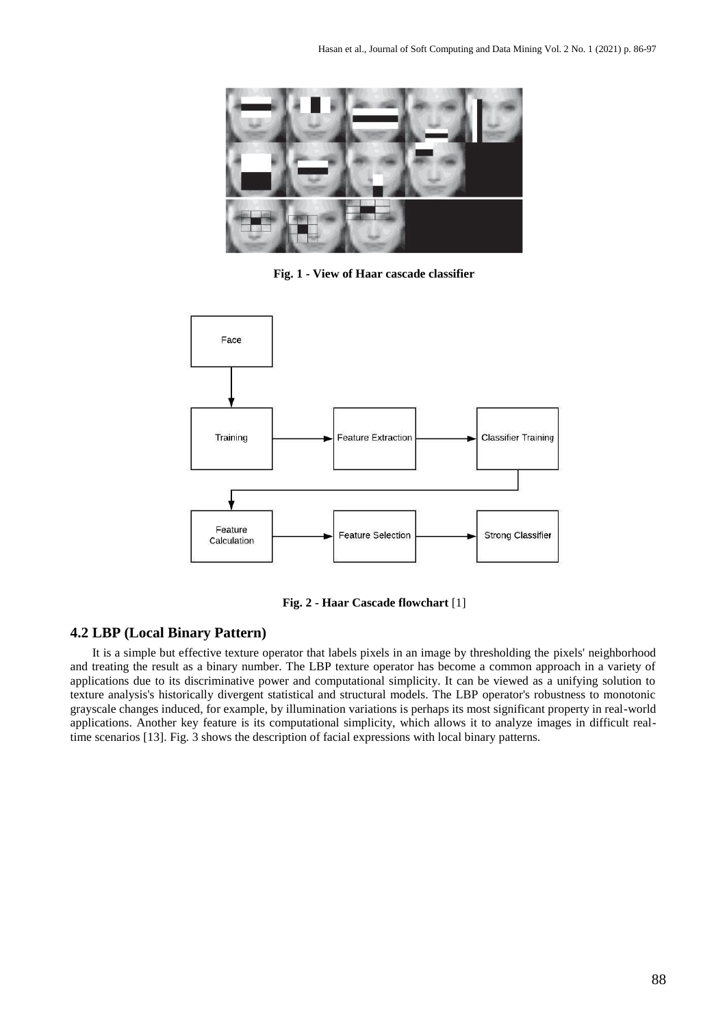

**Fig. 1 - View of Haar cascade classifier**



**Fig. 2 - Haar Cascade flowchart** [1]

# **4.2 LBP (Local Binary Pattern)**

It is a simple but effective texture operator that labels pixels in an image by thresholding the pixels' neighborhood and treating the result as a binary number. The LBP texture operator has become a common approach in a variety of applications due to its discriminative power and computational simplicity. It can be viewed as a unifying solution to texture analysis's historically divergent statistical and structural models. The LBP operator's robustness to monotonic grayscale changes induced, for example, by illumination variations is perhaps its most significant property in real-world applications. Another key feature is its computational simplicity, which allows it to analyze images in difficult realtime scenarios [13]. Fig. 3 shows the description of facial expressions with local binary patterns.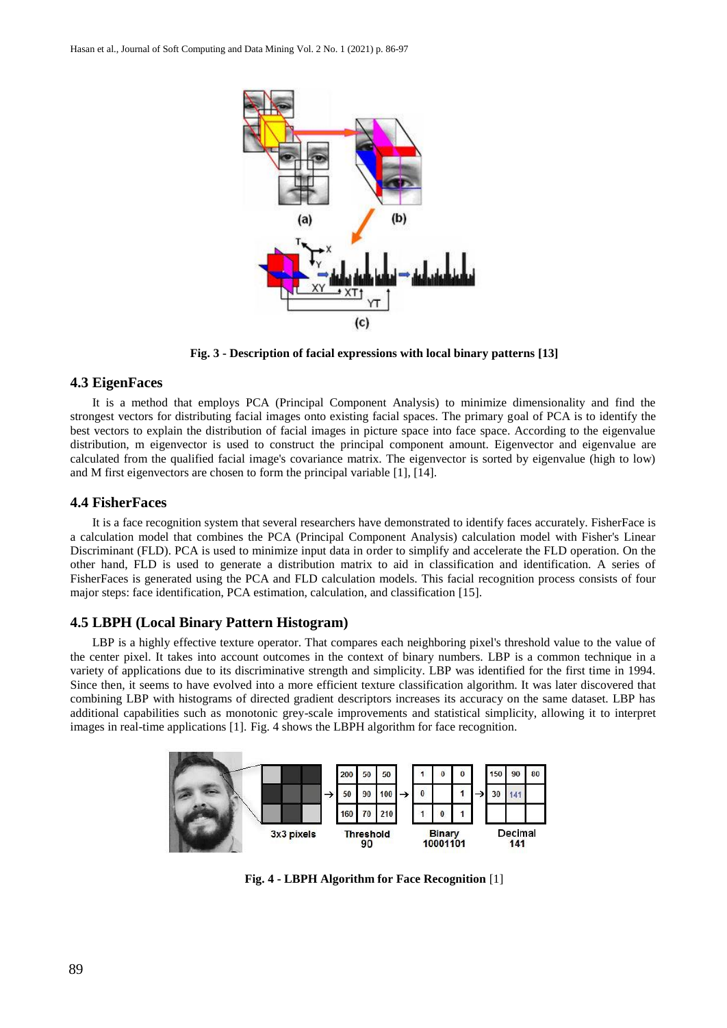

**Fig. 3 - Description of facial expressions with local binary patterns [13]**

#### **4.3 EigenFaces**

It is a method that employs PCA (Principal Component Analysis) to minimize dimensionality and find the strongest vectors for distributing facial images onto existing facial spaces. The primary goal of PCA is to identify the best vectors to explain the distribution of facial images in picture space into face space. According to the eigenvalue distribution, m eigenvector is used to construct the principal component amount. Eigenvector and eigenvalue are calculated from the qualified facial image's covariance matrix. The eigenvector is sorted by eigenvalue (high to low) and M first eigenvectors are chosen to form the principal variable [1], [14].

#### **4.4 FisherFaces**

It is a face recognition system that several researchers have demonstrated to identify faces accurately. FisherFace is a calculation model that combines the PCA (Principal Component Analysis) calculation model with Fisher's Linear Discriminant (FLD). PCA is used to minimize input data in order to simplify and accelerate the FLD operation. On the other hand, FLD is used to generate a distribution matrix to aid in classification and identification. A series of FisherFaces is generated using the PCA and FLD calculation models. This facial recognition process consists of four major steps: face identification, PCA estimation, calculation, and classification [15].

#### **4.5 LBPH (Local Binary Pattern Histogram)**

LBP is a highly effective texture operator. That compares each neighboring pixel's threshold value to the value of the center pixel. It takes into account outcomes in the context of binary numbers. LBP is a common technique in a variety of applications due to its discriminative strength and simplicity. LBP was identified for the first time in 1994. Since then, it seems to have evolved into a more efficient texture classification algorithm. It was later discovered that combining LBP with histograms of directed gradient descriptors increases its accuracy on the same dataset. LBP has additional capabilities such as monotonic grey-scale improvements and statistical simplicity, allowing it to interpret images in real-time applications [1]. Fig. 4 shows the LBPH algorithm for face recognition.



**Fig. 4 - LBPH Algorithm for Face Recognition** [1]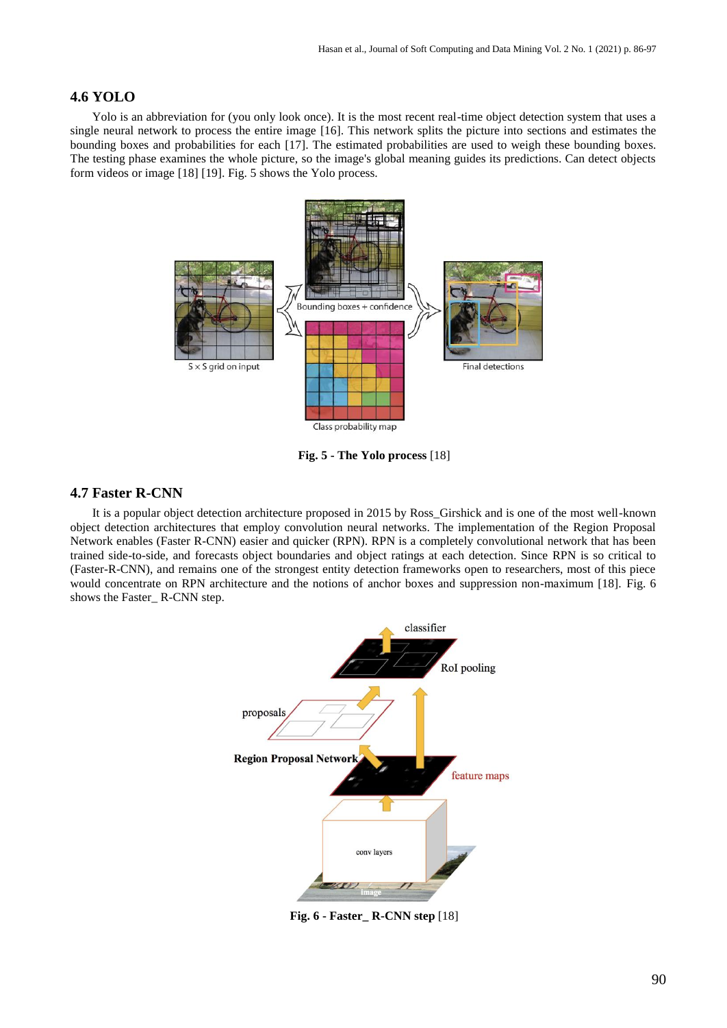## **4.6 YOLO**

Yolo is an abbreviation for (you only look once). It is the most recent real-time object detection system that uses a single neural network to process the entire image [16]. This network splits the picture into sections and estimates the bounding boxes and probabilities for each [17]. The estimated probabilities are used to weigh these bounding boxes. The testing phase examines the whole picture, so the image's global meaning guides its predictions. Can detect objects form videos or image [18] [19]. Fig. 5 shows the Yolo process.



**Fig. 5 - The Yolo process** [18]

# **4.7 Faster R-CNN**

It is a popular object detection architecture proposed in 2015 by Ross\_Girshick and is one of the most well-known object detection architectures that employ convolution neural networks. The implementation of the Region Proposal Network enables (Faster R-CNN) easier and quicker (RPN). RPN is a completely convolutional network that has been trained side-to-side, and forecasts object boundaries and object ratings at each detection. Since RPN is so critical to (Faster-R-CNN), and remains one of the strongest entity detection frameworks open to researchers, most of this piece would concentrate on RPN architecture and the notions of anchor boxes and suppression non-maximum [18]. Fig. 6 shows the Faster\_ R-CNN step.



**Fig. 6 - Faster\_ R-CNN step** [18]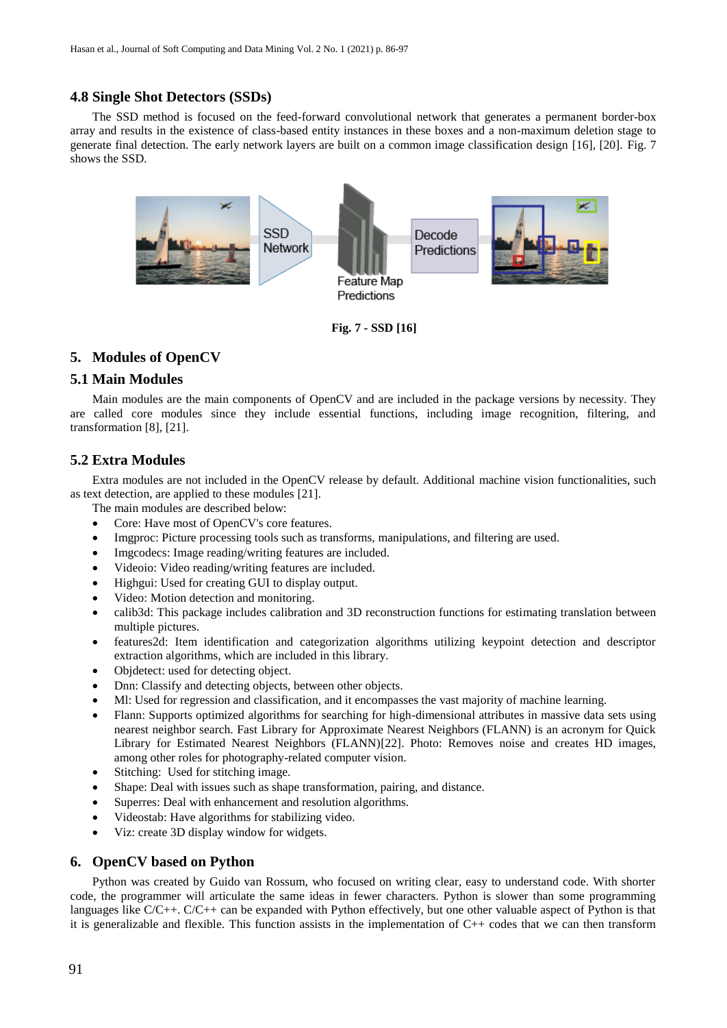#### **4.8 Single Shot Detectors (SSDs)**

The SSD method is focused on the feed-forward convolutional network that generates a permanent border-box array and results in the existence of class-based entity instances in these boxes and a non-maximum deletion stage to generate final detection. The early network layers are built on a common image classification design [16], [20]. Fig. 7 shows the SSD.



**Fig. 7 - SSD [16]**

# **5. Modules of OpenCV**

#### **5.1 Main Modules**

Main modules are the main components of OpenCV and are included in the package versions by necessity. They are called core modules since they include essential functions, including image recognition, filtering, and transformation [8], [21].

#### **5.2 Extra Modules**

Extra modules are not included in the OpenCV release by default. Additional machine vision functionalities, such as text detection, are applied to these modules [21].

- The main modules are described below:
- Core: Have most of OpenCV's core features.
- Imgproc: Picture processing tools such as transforms, manipulations, and filtering are used.
- Imgcodecs: Image reading/writing features are included.
- Videoio: Video reading/writing features are included.
- Highgui: Used for creating GUI to display output.
- Video: Motion detection and monitoring.
- calib3d: This package includes calibration and 3D reconstruction functions for estimating translation between multiple pictures.
- features2d: Item identification and categorization algorithms utilizing keypoint detection and descriptor extraction algorithms, which are included in this library.
- Objdetect: used for detecting object.
- Dnn: Classify and detecting objects, between other objects.
- Ml: Used for regression and classification, and it encompasses the vast majority of machine learning.
- Flann: Supports optimized algorithms for searching for high-dimensional attributes in massive data sets using nearest neighbor search. Fast Library for Approximate Nearest Neighbors (FLANN) is an acronym for Quick Library for Estimated Nearest Neighbors (FLANN)[22]. Photo: Removes noise and creates HD images, among other roles for photography-related computer vision.
- Stitching: Used for stitching image.
- Shape: Deal with issues such as shape transformation, pairing, and distance.
- Superres: Deal with enhancement and resolution algorithms.
- Videostab: Have algorithms for stabilizing video.
- Viz: create 3D display window for widgets.

#### **6. OpenCV based on Python**

Python was created by Guido van Rossum, who focused on writing clear, easy to understand code. With shorter code, the programmer will articulate the same ideas in fewer characters. Python is slower than some programming languages like C/C++. C/C++ can be expanded with Python effectively, but one other valuable aspect of Python is that it is generalizable and flexible. This function assists in the implementation of C++ codes that we can then transform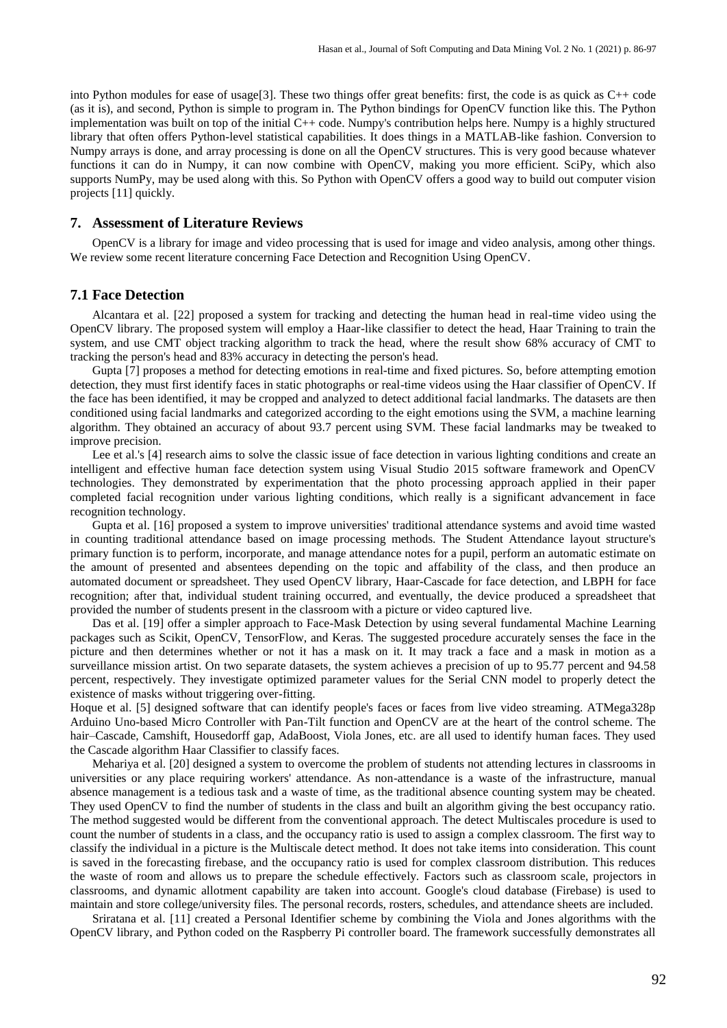into Python modules for ease of usage[3]. These two things offer great benefits: first, the code is as quick as C++ code (as it is), and second, Python is simple to program in. The Python bindings for OpenCV function like this. The Python implementation was built on top of the initial C++ code. Numpy's contribution helps here. Numpy is a highly structured library that often offers Python-level statistical capabilities. It does things in a MATLAB-like fashion. Conversion to Numpy arrays is done, and array processing is done on all the OpenCV structures. This is very good because whatever functions it can do in Numpy, it can now combine with OpenCV, making you more efficient. SciPy, which also supports NumPy, may be used along with this. So Python with OpenCV offers a good way to build out computer vision projects [11] quickly.

#### **7. Assessment of Literature Reviews**

OpenCV is a library for image and video processing that is used for image and video analysis, among other things. We review some recent literature concerning Face Detection and Recognition Using OpenCV.

#### **7.1 Face Detection**

Alcantara et al. [22] proposed a system for tracking and detecting the human head in real-time video using the OpenCV library. The proposed system will employ a Haar-like classifier to detect the head, Haar Training to train the system, and use CMT object tracking algorithm to track the head, where the result show 68% accuracy of CMT to tracking the person's head and 83% accuracy in detecting the person's head.

Gupta [7] proposes a method for detecting emotions in real-time and fixed pictures. So, before attempting emotion detection, they must first identify faces in static photographs or real-time videos using the Haar classifier of OpenCV. If the face has been identified, it may be cropped and analyzed to detect additional facial landmarks. The datasets are then conditioned using facial landmarks and categorized according to the eight emotions using the SVM, a machine learning algorithm. They obtained an accuracy of about 93.7 percent using SVM. These facial landmarks may be tweaked to improve precision.

Lee et al.'s [4] research aims to solve the classic issue of face detection in various lighting conditions and create an intelligent and effective human face detection system using Visual Studio 2015 software framework and OpenCV technologies. They demonstrated by experimentation that the photo processing approach applied in their paper completed facial recognition under various lighting conditions, which really is a significant advancement in face recognition technology.

Gupta et al. [16] proposed a system to improve universities' traditional attendance systems and avoid time wasted in counting traditional attendance based on image processing methods. The Student Attendance layout structure's primary function is to perform, incorporate, and manage attendance notes for a pupil, perform an automatic estimate on the amount of presented and absentees depending on the topic and affability of the class, and then produce an automated document or spreadsheet. They used OpenCV library, Haar-Cascade for face detection, and LBPH for face recognition; after that, individual student training occurred, and eventually, the device produced a spreadsheet that provided the number of students present in the classroom with a picture or video captured live.

Das et al. [19] offer a simpler approach to Face-Mask Detection by using several fundamental Machine Learning packages such as Scikit, OpenCV, TensorFlow, and Keras. The suggested procedure accurately senses the face in the picture and then determines whether or not it has a mask on it. It may track a face and a mask in motion as a surveillance mission artist. On two separate datasets, the system achieves a precision of up to 95.77 percent and 94.58 percent, respectively. They investigate optimized parameter values for the Serial CNN model to properly detect the existence of masks without triggering over-fitting.

Hoque et al. [5] designed software that can identify people's faces or faces from live video streaming. ATMega328p Arduino Uno-based Micro Controller with Pan-Tilt function and OpenCV are at the heart of the control scheme. The hair–Cascade, Camshift, Housedorff gap, AdaBoost, Viola Jones, etc. are all used to identify human faces. They used the Cascade algorithm Haar Classifier to classify faces.

Mehariya et al. [20] designed a system to overcome the problem of students not attending lectures in classrooms in universities or any place requiring workers' attendance. As non-attendance is a waste of the infrastructure, manual absence management is a tedious task and a waste of time, as the traditional absence counting system may be cheated. They used OpenCV to find the number of students in the class and built an algorithm giving the best occupancy ratio. The method suggested would be different from the conventional approach. The detect Multiscales procedure is used to count the number of students in a class, and the occupancy ratio is used to assign a complex classroom. The first way to classify the individual in a picture is the Multiscale detect method. It does not take items into consideration. This count is saved in the forecasting firebase, and the occupancy ratio is used for complex classroom distribution. This reduces the waste of room and allows us to prepare the schedule effectively. Factors such as classroom scale, projectors in classrooms, and dynamic allotment capability are taken into account. Google's cloud database (Firebase) is used to maintain and store college/university files. The personal records, rosters, schedules, and attendance sheets are included.

Sriratana et al. [11] created a Personal Identifier scheme by combining the Viola and Jones algorithms with the OpenCV library, and Python coded on the Raspberry Pi controller board. The framework successfully demonstrates all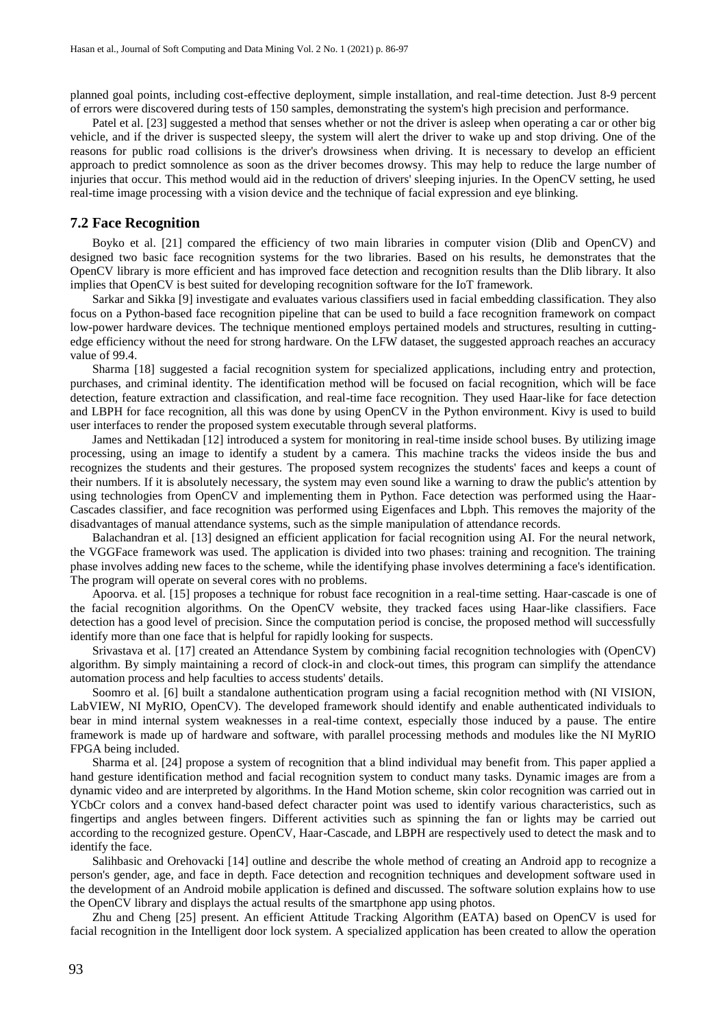planned goal points, including cost-effective deployment, simple installation, and real-time detection. Just 8-9 percent of errors were discovered during tests of 150 samples, demonstrating the system's high precision and performance.

Patel et al. [23] suggested a method that senses whether or not the driver is asleep when operating a car or other big vehicle, and if the driver is suspected sleepy, the system will alert the driver to wake up and stop driving. One of the reasons for public road collisions is the driver's drowsiness when driving. It is necessary to develop an efficient approach to predict somnolence as soon as the driver becomes drowsy. This may help to reduce the large number of injuries that occur. This method would aid in the reduction of drivers' sleeping injuries. In the OpenCV setting, he used real-time image processing with a vision device and the technique of facial expression and eye blinking.

#### **7.2 Face Recognition**

Boyko et al. [21] compared the efficiency of two main libraries in computer vision (Dlib and OpenCV) and designed two basic face recognition systems for the two libraries. Based on his results, he demonstrates that the OpenCV library is more efficient and has improved face detection and recognition results than the Dlib library. It also implies that OpenCV is best suited for developing recognition software for the IoT framework.

Sarkar and Sikka [9] investigate and evaluates various classifiers used in facial embedding classification. They also focus on a Python-based face recognition pipeline that can be used to build a face recognition framework on compact low-power hardware devices. The technique mentioned employs pertained models and structures, resulting in cuttingedge efficiency without the need for strong hardware. On the LFW dataset, the suggested approach reaches an accuracy value of 99.4.

Sharma [18] suggested a facial recognition system for specialized applications, including entry and protection, purchases, and criminal identity. The identification method will be focused on facial recognition, which will be face detection, feature extraction and classification, and real-time face recognition. They used Haar-like for face detection and LBPH for face recognition, all this was done by using OpenCV in the Python environment. Kivy is used to build user interfaces to render the proposed system executable through several platforms.

James and Nettikadan [12] introduced a system for monitoring in real-time inside school buses. By utilizing image processing, using an image to identify a student by a camera. This machine tracks the videos inside the bus and recognizes the students and their gestures. The proposed system recognizes the students' faces and keeps a count of their numbers. If it is absolutely necessary, the system may even sound like a warning to draw the public's attention by using technologies from OpenCV and implementing them in Python. Face detection was performed using the Haar-Cascades classifier, and face recognition was performed using Eigenfaces and Lbph. This removes the majority of the disadvantages of manual attendance systems, such as the simple manipulation of attendance records.

Balachandran et al. [13] designed an efficient application for facial recognition using AI. For the neural network, the VGGFace framework was used. The application is divided into two phases: training and recognition. The training phase involves adding new faces to the scheme, while the identifying phase involves determining a face's identification. The program will operate on several cores with no problems.

Apoorva. et al. [15] proposes a technique for robust face recognition in a real-time setting. Haar-cascade is one of the facial recognition algorithms. On the OpenCV website, they tracked faces using Haar-like classifiers. Face detection has a good level of precision. Since the computation period is concise, the proposed method will successfully identify more than one face that is helpful for rapidly looking for suspects.

Srivastava et al. [17] created an Attendance System by combining facial recognition technologies with (OpenCV) algorithm. By simply maintaining a record of clock-in and clock-out times, this program can simplify the attendance automation process and help faculties to access students' details.

Soomro et al. [6] built a standalone authentication program using a facial recognition method with (NI VISION, LabVIEW, NI MyRIO, OpenCV). The developed framework should identify and enable authenticated individuals to bear in mind internal system weaknesses in a real-time context, especially those induced by a pause. The entire framework is made up of hardware and software, with parallel processing methods and modules like the NI MyRIO FPGA being included.

Sharma et al. [24] propose a system of recognition that a blind individual may benefit from. This paper applied a hand gesture identification method and facial recognition system to conduct many tasks. Dynamic images are from a dynamic video and are interpreted by algorithms. In the Hand Motion scheme, skin color recognition was carried out in YCbCr colors and a convex hand-based defect character point was used to identify various characteristics, such as fingertips and angles between fingers. Different activities such as spinning the fan or lights may be carried out according to the recognized gesture. OpenCV, Haar-Cascade, and LBPH are respectively used to detect the mask and to identify the face.

Salihbasic and Orehovacki [14] outline and describe the whole method of creating an Android app to recognize a person's gender, age, and face in depth. Face detection and recognition techniques and development software used in the development of an Android mobile application is defined and discussed. The software solution explains how to use the OpenCV library and displays the actual results of the smartphone app using photos.

Zhu and Cheng [25] present. An efficient Attitude Tracking Algorithm (EATA) based on OpenCV is used for facial recognition in the Intelligent door lock system. A specialized application has been created to allow the operation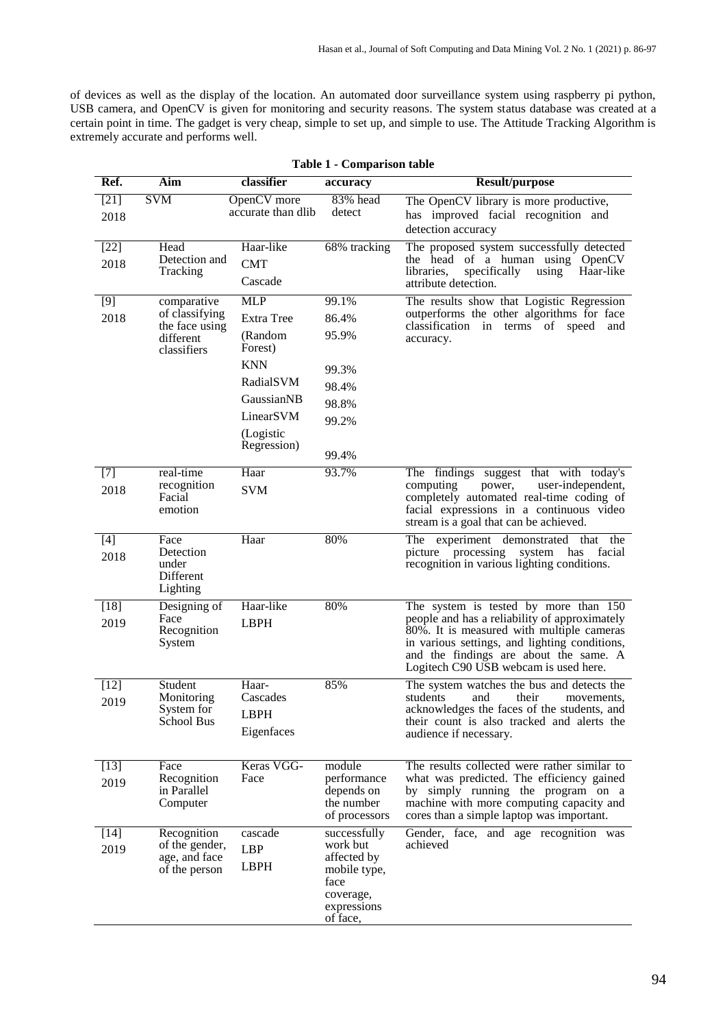of devices as well as the display of the location. An automated door surveillance system using raspberry pi python, USB camera, and OpenCV is given for monitoring and security reasons. The system status database was created at a certain point in time. The gadget is very cheap, simple to set up, and simple to use. The Attitude Tracking Algorithm is extremely accurate and performs well.

| Ref.           | Aim                              | classifier               | accuracy                 | <b>Result/purpose</b>                                                                        |
|----------------|----------------------------------|--------------------------|--------------------------|----------------------------------------------------------------------------------------------|
| $[21]$         | <b>SVM</b>                       | OpenCV more              | 83% head                 | The OpenCV library is more productive,                                                       |
| 2018           |                                  | accurate than dlib       | detect                   | has improved facial recognition and<br>detection accuracy                                    |
| $[22]$         | Head                             | Haar-like                | 68% tracking             | The proposed system successfully detected                                                    |
| 2018           | Detection and<br>Tracking        | <b>CMT</b>               |                          | the head of a human using OpenCV<br>specifically<br>libraries,<br>using<br>Haar-like         |
|                |                                  | Cascade                  |                          | attribute detection.                                                                         |
| [9]            | comparative                      | <b>MLP</b>               | 99.1%                    | The results show that Logistic Regression                                                    |
| 2018           | of classifying<br>the face using | Extra Tree               | 86.4%                    | outperforms the other algorithms for face<br>classification in terms of speed<br>and         |
|                | different<br>classifiers         | (Random<br>Forest)       | 95.9%                    | accuracy.                                                                                    |
|                |                                  | <b>KNN</b>               | 99.3%                    |                                                                                              |
|                |                                  | RadialSVM                | 98.4%                    |                                                                                              |
|                |                                  | GaussianNB               | 98.8%                    |                                                                                              |
|                |                                  | LinearSVM                | 99.2%                    |                                                                                              |
|                |                                  | (Logistic<br>Regression) | 99.4%                    |                                                                                              |
| $[7]$          | real-time                        | Haar                     | 93.7%                    | The findings suggest that with today's                                                       |
| 2018           | recognition<br>Facial            | <b>SVM</b>               |                          | computing<br>user-independent,<br>power,<br>completely automated real-time coding of         |
|                | emotion                          |                          |                          | facial expressions in a continuous video<br>stream is a goal that can be achieved.           |
| $[4]$          | Face                             | Haar                     | 80%                      | The experiment demonstrated that the                                                         |
| 2018           | Detection<br>under               |                          |                          | picture processing<br>facial<br>system<br>has<br>recognition in various lighting conditions. |
|                | Different                        |                          |                          |                                                                                              |
|                | Lighting                         | Haar-like                | 80%                      |                                                                                              |
| $[18]$<br>2019 | Designing of<br>Face             | <b>LBPH</b>              |                          | The system is tested by more than 150<br>people and has a reliability of approximately       |
|                | Recognition                      |                          |                          | 80%. It is measured with multiple cameras                                                    |
|                | System                           |                          |                          | in various settings, and lighting conditions,<br>and the findings are about the same. A      |
|                |                                  |                          |                          | Logitech C90 USB webcam is used here.                                                        |
| $[12]$         | Student                          | Haar-<br>Cascades        | 85%                      | The system watches the bus and detects the<br>students                                       |
| 2019           | Monitoring<br>System for         | LBPH                     |                          | and<br>their<br>movements.<br>acknowledges the faces of the students, and                    |
|                | School Bus                       | Eigenfaces               |                          | their count is also tracked and alerts the                                                   |
|                |                                  |                          |                          | audience if necessary.                                                                       |
| $[13]$         | Face                             | Keras VGG-               | module                   | The results collected were rather similar to                                                 |
| 2019           | Recognition                      | Face                     | performance              | what was predicted. The efficiency gained                                                    |
|                | in Parallel<br>Computer          |                          | depends on<br>the number | by simply running the program on a<br>machine with more computing capacity and               |
|                |                                  |                          | of processors            | cores than a simple laptop was important.                                                    |
| $[14]$         | Recognition                      | cascade                  | successfully             | Gender, face, and age recognition was                                                        |
| 2019           | of the gender,<br>age, and face  | <b>LBP</b>               | work but<br>affected by  | achieved                                                                                     |
|                | of the person                    | <b>LBPH</b>              | mobile type,             |                                                                                              |
|                |                                  |                          | face<br>coverage,        |                                                                                              |
|                |                                  |                          | expressions              |                                                                                              |
|                |                                  |                          | of face,                 |                                                                                              |

#### **Table 1 - Comparison table**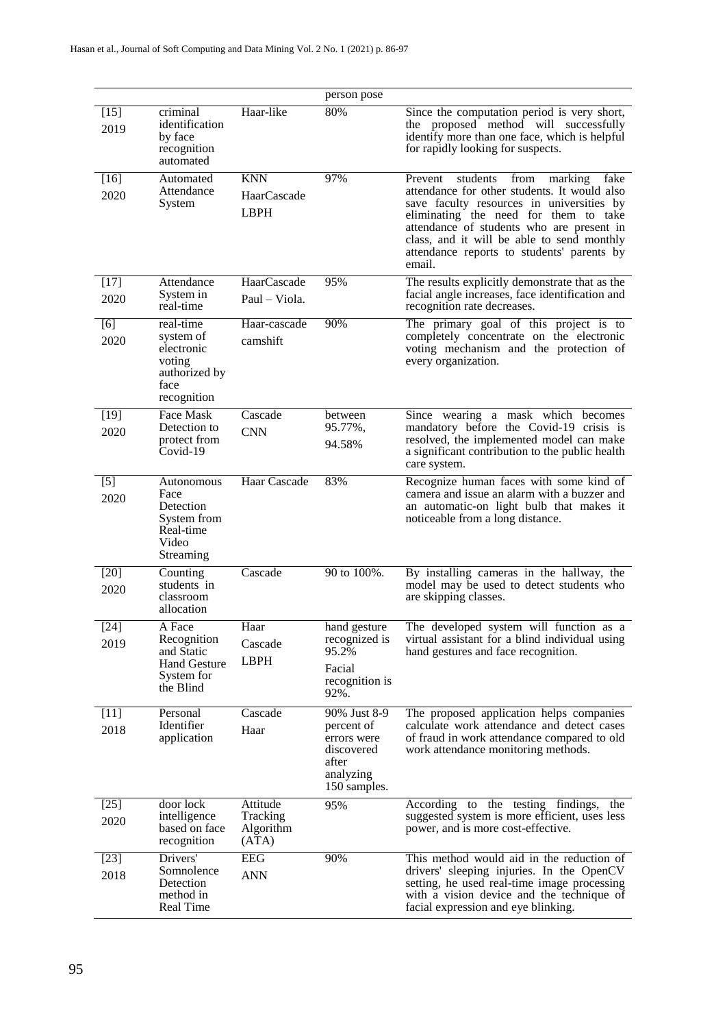|                |                                                                                        |                                            | person pose                                                                                   |                                                                                                                                                                                                                                                                                                                                      |
|----------------|----------------------------------------------------------------------------------------|--------------------------------------------|-----------------------------------------------------------------------------------------------|--------------------------------------------------------------------------------------------------------------------------------------------------------------------------------------------------------------------------------------------------------------------------------------------------------------------------------------|
| $[15]$<br>2019 | criminal<br>identification<br>by face<br>recognition<br>automated                      | Haar-like                                  | 80%                                                                                           | Since the computation period is very short,<br>the proposed method will successfully<br>identify more than one face, which is helpful<br>for rapidly looking for suspects.                                                                                                                                                           |
| $[16]$<br>2020 | Automated<br>Attendance<br>System                                                      | <b>KNN</b><br>HaarCascade<br><b>LBPH</b>   | 97%                                                                                           | Prevent<br>students<br>from marking<br>fake<br>attendance for other students. It would also<br>save faculty resources in universities by<br>eliminating the need for them to take<br>attendance of students who are present in<br>class, and it will be able to send monthly<br>attendance reports to students' parents by<br>email. |
| $[17]$<br>2020 | Attendance<br>System in<br>real-time                                                   | HaarCascade<br>Paul – Viola.               | 95%                                                                                           | The results explicitly demonstrate that as the<br>facial angle increases, face identification and<br>recognition rate decreases.                                                                                                                                                                                                     |
| [6]<br>2020    | real-time<br>system of<br>electronic<br>voting<br>authorized by<br>face<br>recognition | Haar-cascade<br>camshift                   | 90%                                                                                           | The primary goal of this project is to<br>completely concentrate on the electronic<br>voting mechanism and the protection of<br>every organization.                                                                                                                                                                                  |
| $[19]$<br>2020 | Face Mask<br>Detection to<br>protect from<br>Covid-19                                  | Cascade<br><b>CNN</b>                      | between<br>95.77%,<br>94.58%                                                                  | Since wearing a mask which becomes<br>mandatory before the Covid-19 crisis is<br>resolved, the implemented model can make<br>a significant contribution to the public health<br>care system.                                                                                                                                         |
| $[5]$<br>2020  | Autonomous<br>Face<br>Detection<br>System from<br>Real-time<br>Video<br>Streaming      | Haar Cascade                               | 83%                                                                                           | Recognize human faces with some kind of<br>camera and issue an alarm with a buzzer and<br>an automatic-on light bulb that makes it<br>noticeable from a long distance.                                                                                                                                                               |
| [20]<br>2020   | Counting<br>students in<br>classroom<br>allocation                                     | Cascade                                    | 90 to 100%.                                                                                   | By installing cameras in the hallway, the<br>model may be used to detect students who<br>are skipping classes.                                                                                                                                                                                                                       |
| $[24]$<br>2019 | A Face<br>Recognition<br>and Static<br><b>Hand Gesture</b><br>System for<br>the Blind  | Haar<br>Cascade<br><b>LBPH</b>             | hand gesture<br>recognized is<br>95.2%<br>Facial<br>recognition is<br>92%.                    | The developed system will function as a<br>virtual assistant for a blind individual using<br>hand gestures and face recognition.                                                                                                                                                                                                     |
| $[11]$<br>2018 | Personal<br>Identifier<br>application                                                  | Cascade<br>Haar                            | 90% Just 8-9<br>percent of<br>errors were<br>discovered<br>after<br>analyzing<br>150 samples. | The proposed application helps companies<br>calculate work attendance and detect cases<br>of fraud in work attendance compared to old<br>work attendance monitoring methods.                                                                                                                                                         |
| $[25]$<br>2020 | door lock<br>intelligence<br>based on face<br>recognition                              | Attitude<br>Tracking<br>Algorithm<br>(ATA) | 95%                                                                                           | According to the testing findings, the<br>suggested system is more efficient, uses less<br>power, and is more cost-effective.                                                                                                                                                                                                        |
| $[23]$<br>2018 | Drivers'<br>Somnolence<br>Detection<br>method in<br>Real Time                          | EEG<br><b>ANN</b>                          | 90%                                                                                           | This method would aid in the reduction of<br>drivers' sleeping injuries. In the OpenCV<br>setting, he used real-time image processing<br>with a vision device and the technique of<br>facial expression and eye blinking.                                                                                                            |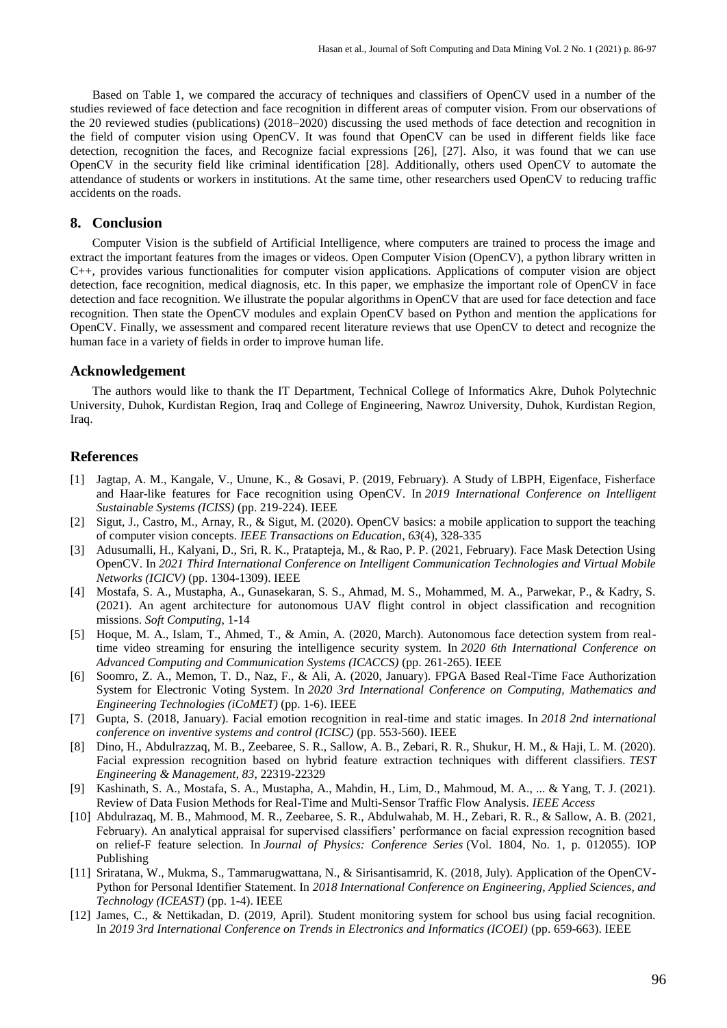Based on Table 1, we compared the accuracy of techniques and classifiers of OpenCV used in a number of the studies reviewed of face detection and face recognition in different areas of computer vision. From our observations of the 20 reviewed studies (publications) (2018–2020) discussing the used methods of face detection and recognition in the field of computer vision using OpenCV. It was found that OpenCV can be used in different fields like face detection, recognition the faces, and Recognize facial expressions [26], [27]. Also, it was found that we can use OpenCV in the security field like criminal identification [28]. Additionally, others used OpenCV to automate the attendance of students or workers in institutions. At the same time, other researchers used OpenCV to reducing traffic accidents on the roads.

#### **8. Conclusion**

Computer Vision is the subfield of Artificial Intelligence, where computers are trained to process the image and extract the important features from the images or videos. Open Computer Vision (OpenCV), a python library written in C++, provides various functionalities for computer vision applications. Applications of computer vision are object detection, face recognition, medical diagnosis, etc. In this paper, we emphasize the important role of OpenCV in face detection and face recognition. We illustrate the popular algorithms in OpenCV that are used for face detection and face recognition. Then state the OpenCV modules and explain OpenCV based on Python and mention the applications for OpenCV. Finally, we assessment and compared recent literature reviews that use OpenCV to detect and recognize the human face in a variety of fields in order to improve human life.

#### **Acknowledgement**

The authors would like to thank the IT Department, Technical College of Informatics Akre, Duhok Polytechnic University, Duhok, Kurdistan Region, Iraq and College of Engineering, Nawroz University, Duhok, Kurdistan Region, Iraq.

#### **References**

- [1] Jagtap, A. M., Kangale, V., Unune, K., & Gosavi, P. (2019, February). A Study of LBPH, Eigenface, Fisherface and Haar-like features for Face recognition using OpenCV. In *2019 International Conference on Intelligent Sustainable Systems (ICISS)* (pp. 219-224). IEEE
- [2] Sigut, J., Castro, M., Arnay, R., & Sigut, M. (2020). OpenCV basics: a mobile application to support the teaching of computer vision concepts. *IEEE Transactions on Education*, *63*(4), 328-335
- [3] Adusumalli, H., Kalyani, D., Sri, R. K., Pratapteja, M., & Rao, P. P. (2021, February). Face Mask Detection Using OpenCV. In *2021 Third International Conference on Intelligent Communication Technologies and Virtual Mobile Networks (ICICV)* (pp. 1304-1309). IEEE
- [4] Mostafa, S. A., Mustapha, A., Gunasekaran, S. S., Ahmad, M. S., Mohammed, M. A., Parwekar, P., & Kadry, S. (2021). An agent architecture for autonomous UAV flight control in object classification and recognition missions. *Soft Computing*, 1-14
- [5] Hoque, M. A., Islam, T., Ahmed, T., & Amin, A. (2020, March). Autonomous face detection system from realtime video streaming for ensuring the intelligence security system. In *2020 6th International Conference on Advanced Computing and Communication Systems (ICACCS)* (pp. 261-265). IEEE
- [6] Soomro, Z. A., Memon, T. D., Naz, F., & Ali, A. (2020, January). FPGA Based Real-Time Face Authorization System for Electronic Voting System. In *2020 3rd International Conference on Computing, Mathematics and Engineering Technologies (iCoMET)* (pp. 1-6). IEEE
- [7] Gupta, S. (2018, January). Facial emotion recognition in real-time and static images. In *2018 2nd international conference on inventive systems and control (ICISC)* (pp. 553-560). IEEE
- [8] Dino, H., Abdulrazzaq, M. B., Zeebaree, S. R., Sallow, A. B., Zebari, R. R., Shukur, H. M., & Haji, L. M. (2020). Facial expression recognition based on hybrid feature extraction techniques with different classifiers. *TEST Engineering & Management*, *83*, 22319-22329
- [9] Kashinath, S. A., Mostafa, S. A., Mustapha, A., Mahdin, H., Lim, D., Mahmoud, M. A., ... & Yang, T. J. (2021). Review of Data Fusion Methods for Real-Time and Multi-Sensor Traffic Flow Analysis. *IEEE Access*
- [10] Abdulrazaq, M. B., Mahmood, M. R., Zeebaree, S. R., Abdulwahab, M. H., Zebari, R. R., & Sallow, A. B. (2021, February). An analytical appraisal for supervised classifiers' performance on facial expression recognition based on relief-F feature selection. In *Journal of Physics: Conference Series* (Vol. 1804, No. 1, p. 012055). IOP Publishing
- [11] Sriratana, W., Mukma, S., Tammarugwattana, N., & Sirisantisamrid, K. (2018, July). Application of the OpenCV-Python for Personal Identifier Statement. In *2018 International Conference on Engineering, Applied Sciences, and Technology (ICEAST)* (pp. 1-4). IEEE
- [12] James, C., & Nettikadan, D. (2019, April). Student monitoring system for school bus using facial recognition. In *2019 3rd International Conference on Trends in Electronics and Informatics (ICOEI)* (pp. 659-663). IEEE